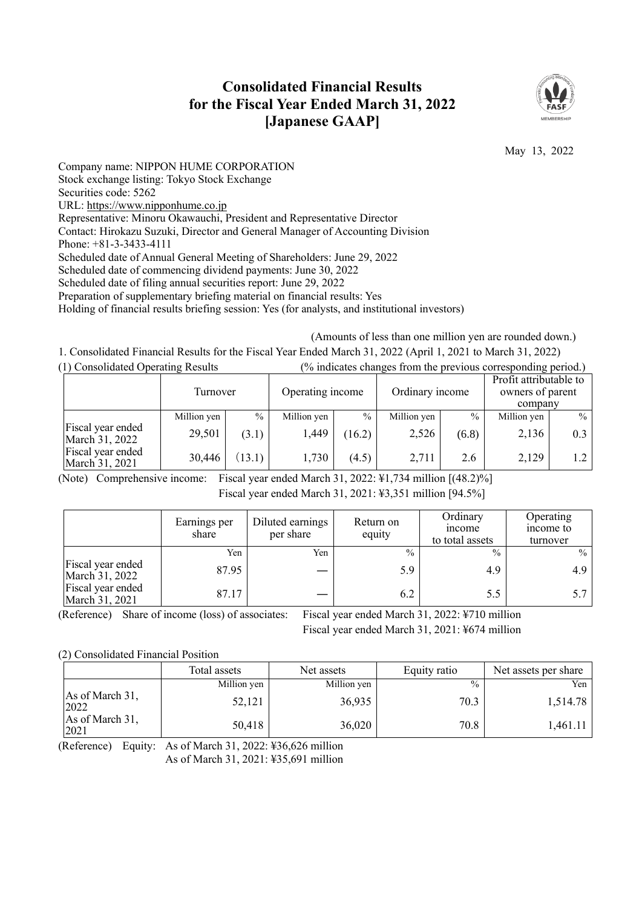# **Consolidated Financial Results for the Fiscal Year Ended March 31, 2022 [Japanese GAAP]**



May 13, 2022

Company name: NIPPON HUME CORPORATION Stock exchange listing: Tokyo Stock Exchange Securities code: 5262 URL: https://www.nipponhume.co.jp Representative: Minoru Okawauchi, President and Representative Director Contact: Hirokazu Suzuki, Director and General Manager of Accounting Division Phone: +81-3-3433-4111 Scheduled date of Annual General Meeting of Shareholders: June 29, 2022 Scheduled date of commencing dividend payments: June 30, 2022 Scheduled date of filing annual securities report: June 29, 2022 Preparation of supplementary briefing material on financial results: Yes Holding of financial results briefing session: Yes (for analysts, and institutional investors)

(Amounts of less than one million yen are rounded down.)

1. Consolidated Financial Results for the Fiscal Year Ended March 31, 2022 (April 1, 2021 to March 31, 2022) (1) Consolidated Operating Results (% indicates changes from the previous corresponding period.)

| $\left(1\right)$ consolidated operating research<br>o multitude changed from the previous conceptioning periodic |             |        |                  |               |                 |       |                                            |               |  |
|------------------------------------------------------------------------------------------------------------------|-------------|--------|------------------|---------------|-----------------|-------|--------------------------------------------|---------------|--|
|                                                                                                                  | Turnover    |        | Operating income |               | Ordinary income |       | Profit attributable to<br>owners of parent |               |  |
|                                                                                                                  |             |        |                  |               |                 |       |                                            | company       |  |
|                                                                                                                  | Million yen | $\%$   | Million yen      | $\frac{0}{0}$ | Million yen     | $\%$  | Million yen                                | $\frac{0}{0}$ |  |
| Fiscal year ended<br>March 31, 2022                                                                              | 29,501      | (3.1)  | 1,449            | (16.2)        | 2,526           | (6.8) | 2,136                                      | 0.3           |  |
| Fiscal year ended<br>March 31, 2021                                                                              | 30,446      | (13.1) | 1,730            | (4.5)         | 2,711           | 2.6   | 2,129                                      |               |  |

(Note) Comprehensive income: Fiscal year ended March 31, 2022: ¥1,734 million [(48.2)%] Fiscal year ended March 31, 2021: ¥3,351 million [94.5%]

|                                     | Earnings per<br>share | Diluted earnings<br>per share | Return on<br>equity | Ordinary<br>mcome<br>to total assets | Operating<br>income to<br>turnover |
|-------------------------------------|-----------------------|-------------------------------|---------------------|--------------------------------------|------------------------------------|
|                                     | Yen                   | Yen                           | $\frac{0}{0}$       | $\frac{0}{0}$                        | $\%$                               |
| Fiscal year ended<br>March 31, 2022 | 87.95                 |                               | 5.9                 | 4.9                                  | 4.9                                |
| Fiscal year ended<br>March 31, 2021 | 87.17                 |                               | 6.2                 | 5.5                                  |                                    |

(Reference) Share of income (loss) of associates: Fiscal year ended March 31, 2022: ¥710 million Fiscal year ended March 31, 2021: ¥674 million

(2) Consolidated Financial Position

|                         | Total assets | Net assets  | Equity ratio  | Net assets per share |
|-------------------------|--------------|-------------|---------------|----------------------|
|                         | Million yen  | Million yen | $\frac{0}{0}$ | Yen                  |
| As of March 31,<br>2022 | 52,121       | 36,935      | 70.3          | 1,514.78             |
| As of March 31,<br>2021 | 50,418       | 36,020      | 70.8          | 1,461.11             |

(Reference) Equity: As of March 31, 2022: ¥36,626 million

As of March 31, 2021: ¥35,691 million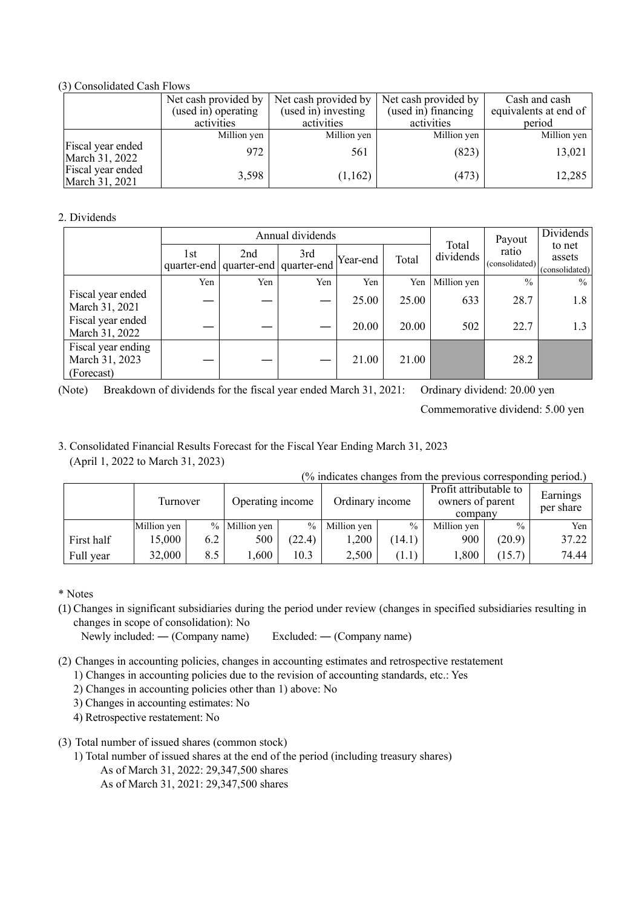#### (3) Consolidated Cash Flows

|                                     | Net cash provided by<br>(used in) operating<br>activities | Net cash provided by<br>(used in) investing<br>activities | Net cash provided by<br>(used in) financing<br>activities | Cash and cash<br>equivalents at end of<br>period |
|-------------------------------------|-----------------------------------------------------------|-----------------------------------------------------------|-----------------------------------------------------------|--------------------------------------------------|
|                                     | Million yen                                               | Million yen                                               | Million yen                                               | Million yen                                      |
| Fiscal year ended<br>March 31, 2022 | 972                                                       | 561                                                       | (823)                                                     | 13,021                                           |
| Fiscal year ended<br>March 31, 2021 | 3,598                                                     | (1,162)                                                   | (473)                                                     | 12,285                                           |

#### 2. Dividends

|                                                    |                                                             |     | Annual dividends |       |       |                    | Payout                  | Dividends                          |
|----------------------------------------------------|-------------------------------------------------------------|-----|------------------|-------|-------|--------------------|-------------------------|------------------------------------|
|                                                    | 1st<br>  quarter-end   quarter-end   quarter-end   Year-end | 2nd | 3rd              |       | Total | Total<br>dividends | ratio<br>(consolidated) | to net<br>assets<br>(consolidated) |
|                                                    | Yen                                                         | Yen | Yen              | Yen   | Yen   | Million yen        | $\frac{0}{0}$           | $\frac{0}{0}$                      |
| Fiscal year ended<br>March 31, 2021                |                                                             |     |                  | 25.00 | 25.00 | 633                | 28.7                    | 1.8                                |
| Fiscal year ended<br>March 31, 2022                |                                                             |     |                  | 20.00 | 20.00 | 502                | 22.7                    | 1.3                                |
| Fiscal year ending<br>March 31, 2023<br>(Forecast) |                                                             |     |                  | 21.00 | 21.00 |                    | 28.2                    |                                    |

(Note) Breakdown of dividends for the fiscal year ended March 31, 2021: Ordinary dividend: 20.00 yen

Commemorative dividend: 5.00 yen

#### 3. Consolidated Financial Results Forecast for the Fiscal Year Ending March 31, 2023 (April 1, 2022 to March 31, 2023)

(% indicates changes from the previous corresponding period.)

|            | Turnover    |     | Operating income |               | Ordinary income |               | Profit attributable to<br>owners of parent<br>company |               | Earnings<br>per share |
|------------|-------------|-----|------------------|---------------|-----------------|---------------|-------------------------------------------------------|---------------|-----------------------|
|            | Million yen |     | % Million yen    | $\frac{0}{0}$ | Million yen     | $\frac{0}{0}$ | Million yen                                           | $\frac{0}{0}$ | Yen                   |
| First half | 15,000      | 6.2 | 500              | (22.4)        | ,200            | (14.1)        | 900                                                   | (20.9)        | 37.22                 |
| Full year  | 32,000      | 8.5 | .600             | 10.3          | 2,500           | (1.1)         | 1,800                                                 | 15.7)         | 74.44                 |

\* Notes

(1) Changes in significant subsidiaries during the period under review (changes in specified subsidiaries resulting in changes in scope of consolidation): No

Newly included: ― (Company name) Excluded: ― (Company name)

(2) Changes in accounting policies, changes in accounting estimates and retrospective restatement

1) Changes in accounting policies due to the revision of accounting standards, etc.: Yes

2) Changes in accounting policies other than 1) above: No

3) Changes in accounting estimates: No

4) Retrospective restatement: No

(3) Total number of issued shares (common stock)

1) Total number of issued shares at the end of the period (including treasury shares) As of March 31, 2022: 29,347,500 shares As of March 31, 2021: 29,347,500 shares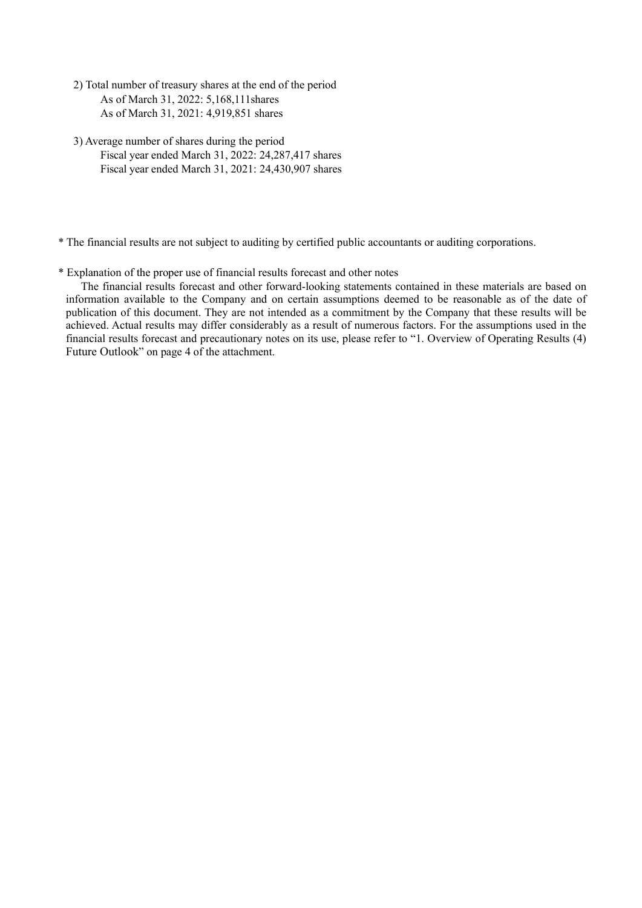- 2) Total number of treasury shares at the end of the period As of March 31, 2022: 5,168,111shares As of March 31, 2021: 4,919,851 shares
- 3) Average number of shares during the period Fiscal year ended March 31, 2022: 24,287,417 shares Fiscal year ended March 31, 2021: 24,430,907 shares

\* The financial results are not subject to auditing by certified public accountants or auditing corporations.

\* Explanation of the proper use of financial results forecast and other notes

The financial results forecast and other forward-looking statements contained in these materials are based on information available to the Company and on certain assumptions deemed to be reasonable as of the date of publication of this document. They are not intended as a commitment by the Company that these results will be achieved. Actual results may differ considerably as a result of numerous factors. For the assumptions used in the financial results forecast and precautionary notes on its use, please refer to "1. Overview of Operating Results (4) Future Outlook" on page 4 of the attachment.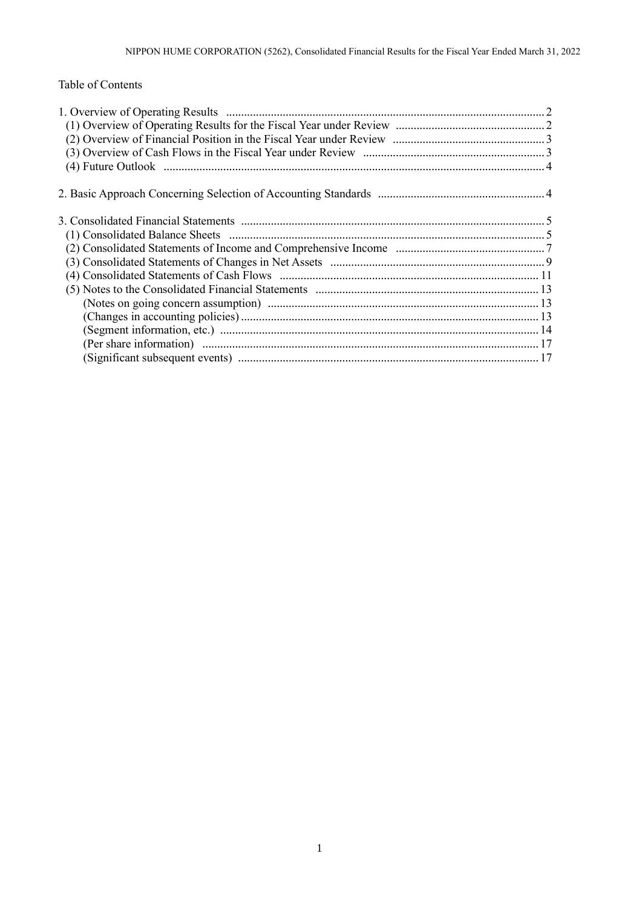### Table of Contents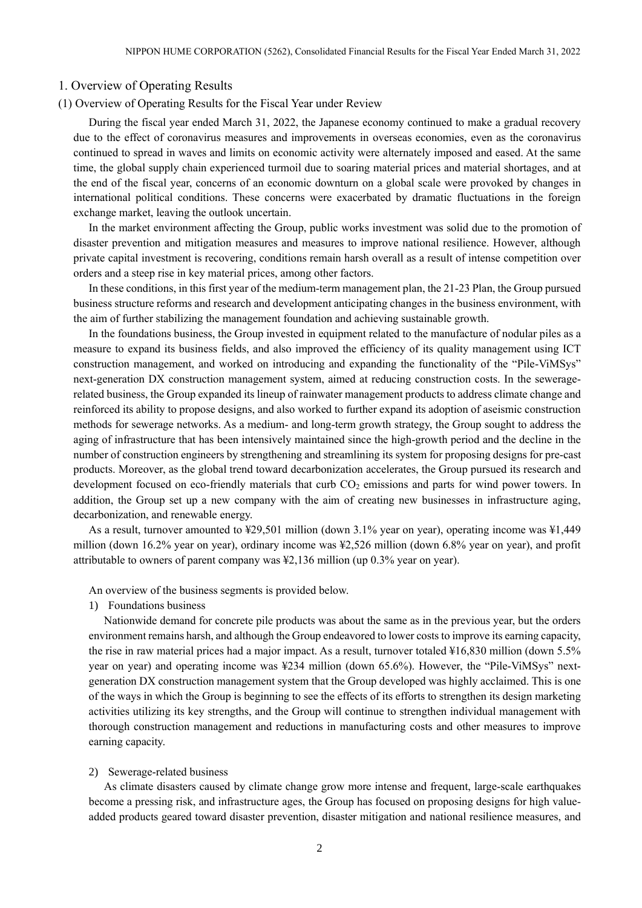#### 1. Overview of Operating Results

#### (1) Overview of Operating Results for the Fiscal Year under Review

During the fiscal year ended March 31, 2022, the Japanese economy continued to make a gradual recovery due to the effect of coronavirus measures and improvements in overseas economies, even as the coronavirus continued to spread in waves and limits on economic activity were alternately imposed and eased. At the same time, the global supply chain experienced turmoil due to soaring material prices and material shortages, and at the end of the fiscal year, concerns of an economic downturn on a global scale were provoked by changes in international political conditions. These concerns were exacerbated by dramatic fluctuations in the foreign exchange market, leaving the outlook uncertain.

In the market environment affecting the Group, public works investment was solid due to the promotion of disaster prevention and mitigation measures and measures to improve national resilience. However, although private capital investment is recovering, conditions remain harsh overall as a result of intense competition over orders and a steep rise in key material prices, among other factors.

In these conditions, in this first year of the medium-term management plan, the 21-23 Plan, the Group pursued business structure reforms and research and development anticipating changes in the business environment, with the aim of further stabilizing the management foundation and achieving sustainable growth.

In the foundations business, the Group invested in equipment related to the manufacture of nodular piles as a measure to expand its business fields, and also improved the efficiency of its quality management using ICT construction management, and worked on introducing and expanding the functionality of the "Pile-ViMSys" next-generation DX construction management system, aimed at reducing construction costs. In the seweragerelated business, the Group expanded its lineup of rainwater management products to address climate change and reinforced its ability to propose designs, and also worked to further expand its adoption of aseismic construction methods for sewerage networks. As a medium- and long-term growth strategy, the Group sought to address the aging of infrastructure that has been intensively maintained since the high-growth period and the decline in the number of construction engineers by strengthening and streamlining its system for proposing designs for pre-cast products. Moreover, as the global trend toward decarbonization accelerates, the Group pursued its research and development focused on eco-friendly materials that curb CO<sub>2</sub> emissions and parts for wind power towers. In addition, the Group set up a new company with the aim of creating new businesses in infrastructure aging, decarbonization, and renewable energy.

As a result, turnover amounted to ¥29,501 million (down 3.1% year on year), operating income was ¥1,449 million (down 16.2% year on year), ordinary income was ¥2,526 million (down 6.8% year on year), and profit attributable to owners of parent company was ¥2,136 million (up 0.3% year on year).

An overview of the business segments is provided below.

1) Foundations business

Nationwide demand for concrete pile products was about the same as in the previous year, but the orders environment remains harsh, and although the Group endeavored to lower costs to improve its earning capacity, the rise in raw material prices had a major impact. As a result, turnover totaled ¥16,830 million (down 5.5% year on year) and operating income was ¥234 million (down 65.6%). However, the "Pile-ViMSys" nextgeneration DX construction management system that the Group developed was highly acclaimed. This is one of the ways in which the Group is beginning to see the effects of its efforts to strengthen its design marketing activities utilizing its key strengths, and the Group will continue to strengthen individual management with thorough construction management and reductions in manufacturing costs and other measures to improve earning capacity.

#### 2) Sewerage-related business

As climate disasters caused by climate change grow more intense and frequent, large-scale earthquakes become a pressing risk, and infrastructure ages, the Group has focused on proposing designs for high valueadded products geared toward disaster prevention, disaster mitigation and national resilience measures, and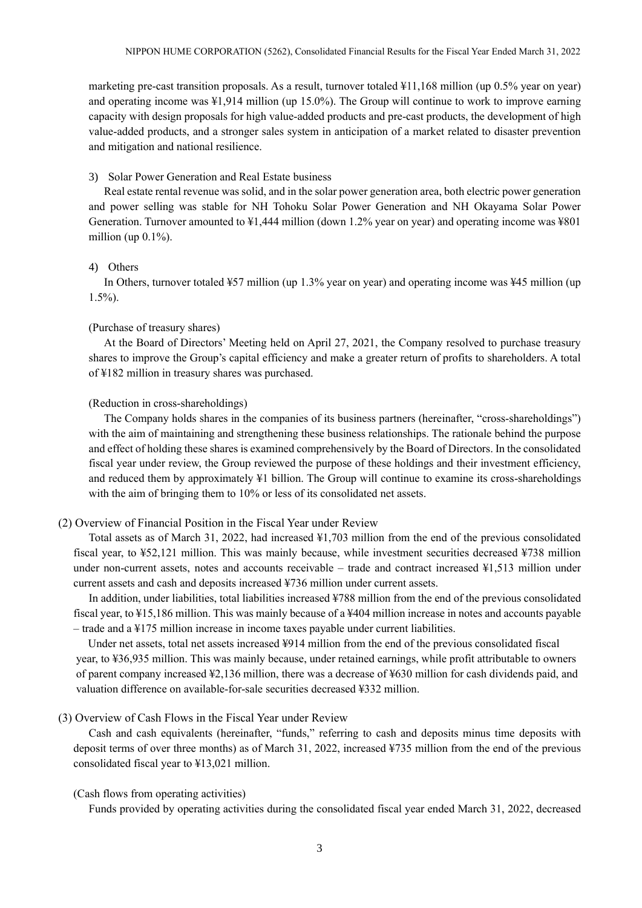marketing pre-cast transition proposals. As a result, turnover totaled ¥11,168 million (up 0.5% year on year) and operating income was ¥1,914 million (up 15.0%). The Group will continue to work to improve earning capacity with design proposals for high value-added products and pre-cast products, the development of high value-added products, and a stronger sales system in anticipation of a market related to disaster prevention and mitigation and national resilience.

#### 3) Solar Power Generation and Real Estate business

Real estate rental revenue was solid, and in the solar power generation area, both electric power generation and power selling was stable for NH Tohoku Solar Power Generation and NH Okayama Solar Power Generation. Turnover amounted to ¥1,444 million (down 1.2% year on year) and operating income was ¥801 million (up  $0.1\%$ ).

#### 4) Others

In Others, turnover totaled ¥57 million (up 1.3% year on year) and operating income was ¥45 million (up 1.5%).

#### (Purchase of treasury shares)

At the Board of Directors' Meeting held on April 27, 2021, the Company resolved to purchase treasury shares to improve the Group's capital efficiency and make a greater return of profits to shareholders. A total of ¥182 million in treasury shares was purchased.

#### (Reduction in cross-shareholdings)

The Company holds shares in the companies of its business partners (hereinafter, "cross-shareholdings") with the aim of maintaining and strengthening these business relationships. The rationale behind the purpose and effect of holding these shares is examined comprehensively by the Board of Directors. In the consolidated fiscal year under review, the Group reviewed the purpose of these holdings and their investment efficiency, and reduced them by approximately ¥1 billion. The Group will continue to examine its cross-shareholdings with the aim of bringing them to 10% or less of its consolidated net assets.

#### (2) Overview of Financial Position in the Fiscal Year under Review

Total assets as of March 31, 2022, had increased ¥1,703 million from the end of the previous consolidated fiscal year, to ¥52,121 million. This was mainly because, while investment securities decreased ¥738 million under non-current assets, notes and accounts receivable – trade and contract increased \{41,513 million under current assets and cash and deposits increased ¥736 million under current assets.

In addition, under liabilities, total liabilities increased ¥788 million from the end of the previous consolidated fiscal year, to ¥15,186 million. This was mainly because of a ¥404 million increase in notes and accounts payable – trade and a ¥175 million increase in income taxes payable under current liabilities.

Under net assets, total net assets increased ¥914 million from the end of the previous consolidated fiscal year, to ¥36,935 million. This was mainly because, under retained earnings, while profit attributable to owners of parent company increased ¥2,136 million, there was a decrease of ¥630 million for cash dividends paid, and valuation difference on available-for-sale securities decreased ¥332 million.

### (3) Overview of Cash Flows in the Fiscal Year under Review

Cash and cash equivalents (hereinafter, "funds," referring to cash and deposits minus time deposits with deposit terms of over three months) as of March 31, 2022, increased ¥735 million from the end of the previous consolidated fiscal year to ¥13,021 million.

#### (Cash flows from operating activities)

Funds provided by operating activities during the consolidated fiscal year ended March 31, 2022, decreased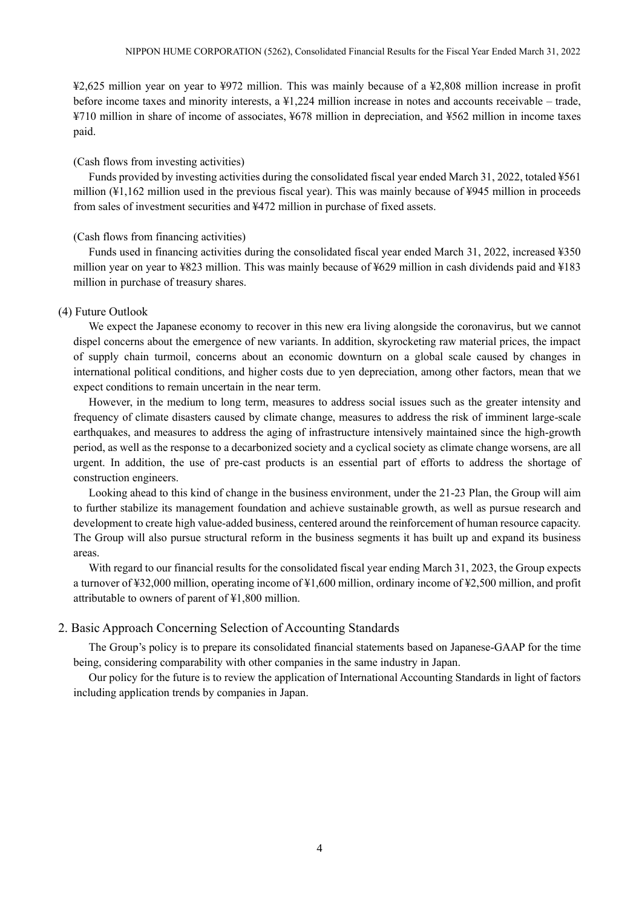¥2,625 million year on year to ¥972 million. This was mainly because of a ¥2,808 million increase in profit before income taxes and minority interests, a ¥1,224 million increase in notes and accounts receivable – trade, ¥710 million in share of income of associates, ¥678 million in depreciation, and ¥562 million in income taxes paid.

#### (Cash flows from investing activities)

Funds provided by investing activities during the consolidated fiscal year ended March 31, 2022, totaled ¥561 million (¥1,162 million used in the previous fiscal year). This was mainly because of ¥945 million in proceeds from sales of investment securities and ¥472 million in purchase of fixed assets.

#### (Cash flows from financing activities)

Funds used in financing activities during the consolidated fiscal year ended March 31, 2022, increased ¥350 million year on year to ¥823 million. This was mainly because of ¥629 million in cash dividends paid and ¥183 million in purchase of treasury shares.

#### (4) Future Outlook

We expect the Japanese economy to recover in this new era living alongside the coronavirus, but we cannot dispel concerns about the emergence of new variants. In addition, skyrocketing raw material prices, the impact of supply chain turmoil, concerns about an economic downturn on a global scale caused by changes in international political conditions, and higher costs due to yen depreciation, among other factors, mean that we expect conditions to remain uncertain in the near term.

However, in the medium to long term, measures to address social issues such as the greater intensity and frequency of climate disasters caused by climate change, measures to address the risk of imminent large-scale earthquakes, and measures to address the aging of infrastructure intensively maintained since the high-growth period, as well as the response to a decarbonized society and a cyclical society as climate change worsens, are all urgent. In addition, the use of pre-cast products is an essential part of efforts to address the shortage of construction engineers.

Looking ahead to this kind of change in the business environment, under the 21-23 Plan, the Group will aim to further stabilize its management foundation and achieve sustainable growth, as well as pursue research and development to create high value-added business, centered around the reinforcement of human resource capacity. The Group will also pursue structural reform in the business segments it has built up and expand its business areas.

With regard to our financial results for the consolidated fiscal year ending March 31, 2023, the Group expects a turnover of ¥32,000 million, operating income of ¥1,600 million, ordinary income of ¥2,500 million, and profit attributable to owners of parent of ¥1,800 million.

#### 2. Basic Approach Concerning Selection of Accounting Standards

The Group's policy is to prepare its consolidated financial statements based on Japanese-GAAP for the time being, considering comparability with other companies in the same industry in Japan.

Our policy for the future is to review the application of International Accounting Standards in light of factors including application trends by companies in Japan.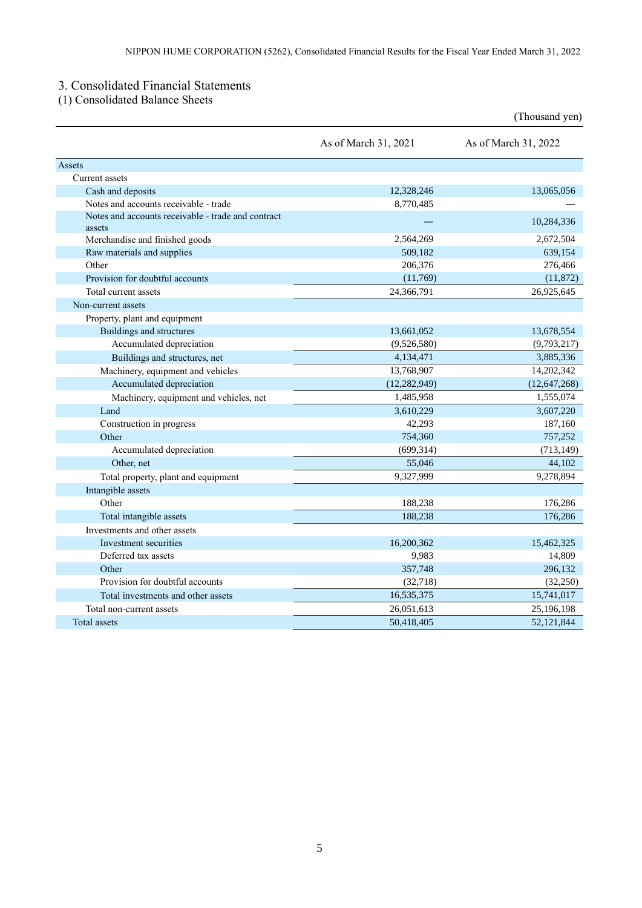(Thousand yen)

### 3. Consolidated Financial Statements

(1) Consolidated Balance Sheets

|                                                              | As of March 31, 2021 | As of March 31, 2022 |
|--------------------------------------------------------------|----------------------|----------------------|
| Assets                                                       |                      |                      |
| Current assets                                               |                      |                      |
| Cash and deposits                                            | 12,328,246           | 13,065,056           |
| Notes and accounts receivable - trade                        | 8,770,485            |                      |
| Notes and accounts receivable - trade and contract<br>assets |                      | 10,284,336           |
| Merchandise and finished goods                               | 2,564,269            | 2,672,504            |
| Raw materials and supplies                                   | 509,182              | 639,154              |
| Other                                                        | 206,376              | 276,466              |
| Provision for doubtful accounts                              | (11,769)             | (11,872)             |
| Total current assets                                         | 24,366,791           | 26,925,645           |
| Non-current assets                                           |                      |                      |
| Property, plant and equipment                                |                      |                      |
| Buildings and structures                                     | 13,661,052           | 13,678,554           |
| Accumulated depreciation                                     | (9,526,580)          | (9,793,217)          |
| Buildings and structures, net                                | 4,134,471            | 3,885,336            |
| Machinery, equipment and vehicles                            | 13,768,907           | 14,202,342           |
| Accumulated depreciation                                     | (12, 282, 949)       | (12, 647, 268)       |
| Machinery, equipment and vehicles, net                       | 1,485,958            | 1,555,074            |
| Land                                                         | 3,610,229            | 3,607,220            |
| Construction in progress                                     | 42,293               | 187,160              |
| Other                                                        | 754,360              | 757,252              |
| Accumulated depreciation                                     | (699, 314)           | (713, 149)           |
| Other, net                                                   | 55,046               | 44,102               |
| Total property, plant and equipment                          | 9,327,999            | 9,278,894            |
| Intangible assets                                            |                      |                      |
| Other                                                        | 188,238              | 176,286              |
| Total intangible assets                                      | 188,238              | 176,286              |
| Investments and other assets                                 |                      |                      |
| Investment securities                                        | 16,200,362           | 15,462,325           |
| Deferred tax assets                                          | 9,983                | 14,809               |
| Other                                                        | 357,748              | 296,132              |
| Provision for doubtful accounts                              | (32,718)             | (32,250)             |
| Total investments and other assets                           | 16,535,375           | 15,741,017           |
| Total non-current assets                                     | 26,051,613           | 25,196,198           |
| Total assets                                                 | 50,418,405           | 52,121,844           |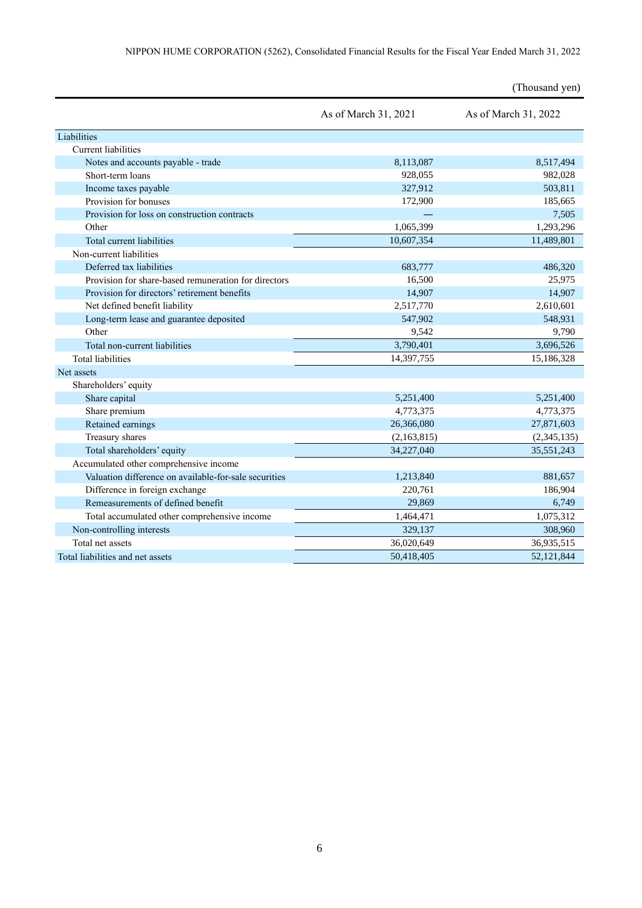|                                                       |                      | (Thousand yen)       |
|-------------------------------------------------------|----------------------|----------------------|
|                                                       | As of March 31, 2021 | As of March 31, 2022 |
| Liabilities                                           |                      |                      |
| <b>Current</b> liabilities                            |                      |                      |
| Notes and accounts payable - trade                    | 8,113,087            | 8,517,494            |
| Short-term loans                                      | 928,055              | 982,028              |
| Income taxes payable                                  | 327,912              | 503,811              |
| Provision for bonuses                                 | 172,900              | 185,665              |
| Provision for loss on construction contracts          |                      | 7,505                |
| Other                                                 | 1,065,399            | 1,293,296            |
| Total current liabilities                             | 10,607,354           | 11,489,801           |
| Non-current liabilities                               |                      |                      |
| Deferred tax liabilities                              | 683,777              | 486.320              |
| Provision for share-based remuneration for directors  | 16,500               | 25,975               |
| Provision for directors' retirement benefits          | 14,907               | 14,907               |
| Net defined benefit liability                         | 2,517,770            | 2,610,601            |
| Long-term lease and guarantee deposited               | 547,902              | 548,931              |
| Other                                                 | 9,542                | 9,790                |
| Total non-current liabilities                         | 3,790,401            | 3,696,526            |
| <b>Total liabilities</b>                              | 14,397,755           | 15,186,328           |
| Net assets                                            |                      |                      |
| Shareholders' equity                                  |                      |                      |
| Share capital                                         | 5,251,400            | 5,251,400            |
| Share premium                                         | 4,773,375            | 4,773,375            |
| Retained earnings                                     | 26,366,080           | 27,871,603           |
| Treasury shares                                       | (2,163,815)          | (2,345,135)          |
| Total shareholders' equity                            | 34,227,040           | 35,551,243           |
| Accumulated other comprehensive income                |                      |                      |
| Valuation difference on available-for-sale securities | 1,213,840            | 881,657              |
| Difference in foreign exchange                        | 220,761              | 186,904              |
| Remeasurements of defined benefit                     | 29,869               | 6,749                |
| Total accumulated other comprehensive income          | 1,464,471            | 1,075,312            |
| Non-controlling interests                             | 329,137              | 308,960              |
| Total net assets                                      | 36,020,649           | 36,935,515           |
| Total liabilities and net assets                      | 50,418,405           | 52,121,844           |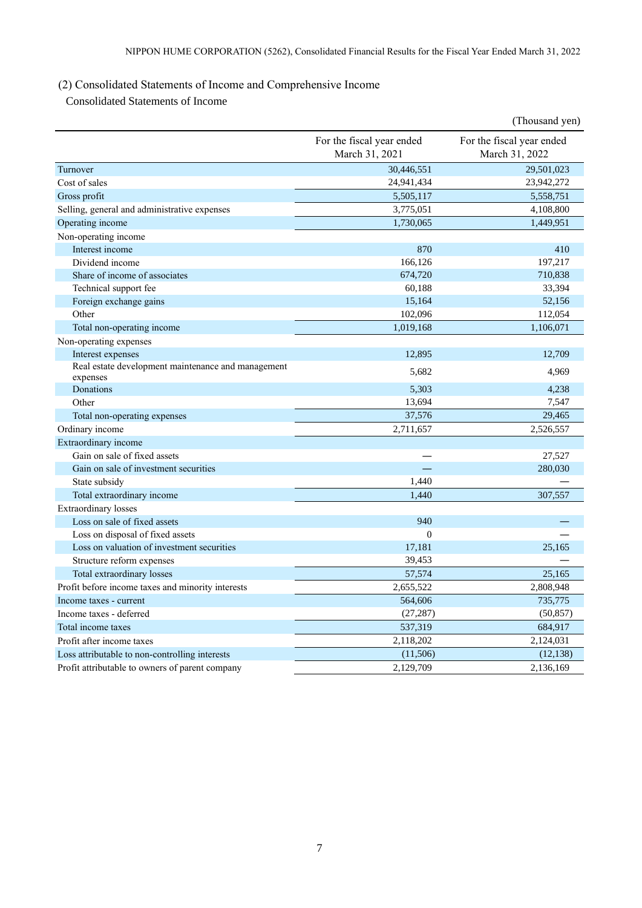### (2) Consolidated Statements of Income and Comprehensive Income

Consolidated Statements of Income

|                                                                |                                             | (Thousand yen)                              |
|----------------------------------------------------------------|---------------------------------------------|---------------------------------------------|
|                                                                | For the fiscal year ended<br>March 31, 2021 | For the fiscal year ended<br>March 31, 2022 |
| Turnover                                                       | 30,446,551                                  | 29,501,023                                  |
| Cost of sales                                                  | 24,941,434                                  | 23,942,272                                  |
| Gross profit                                                   | 5,505,117                                   | 5,558,751                                   |
| Selling, general and administrative expenses                   | 3,775,051                                   | 4,108,800                                   |
| Operating income                                               | 1,730,065                                   | 1,449,951                                   |
| Non-operating income                                           |                                             |                                             |
| Interest income                                                | 870                                         | 410                                         |
| Dividend income                                                | 166,126                                     | 197,217                                     |
| Share of income of associates                                  | 674,720                                     | 710,838                                     |
| Technical support fee                                          | 60,188                                      | 33,394                                      |
| Foreign exchange gains                                         | 15,164                                      | 52,156                                      |
| Other                                                          | 102,096                                     | 112,054                                     |
| Total non-operating income                                     | 1,019,168                                   | 1,106,071                                   |
| Non-operating expenses                                         |                                             |                                             |
| Interest expenses                                              | 12,895                                      | 12,709                                      |
| Real estate development maintenance and management<br>expenses | 5,682                                       | 4,969                                       |
| Donations                                                      | 5,303                                       | 4,238                                       |
| Other                                                          | 13,694                                      | 7,547                                       |
| Total non-operating expenses                                   | 37,576                                      | 29,465                                      |
| Ordinary income                                                | 2,711,657                                   | 2,526,557                                   |
| Extraordinary income                                           |                                             |                                             |
| Gain on sale of fixed assets                                   |                                             | 27,527                                      |
| Gain on sale of investment securities                          |                                             | 280,030                                     |
| State subsidy                                                  | 1,440                                       |                                             |
| Total extraordinary income                                     | 1.440                                       | 307,557                                     |
| <b>Extraordinary losses</b>                                    |                                             |                                             |
| Loss on sale of fixed assets                                   | 940                                         |                                             |
| Loss on disposal of fixed assets                               | $\theta$                                    |                                             |
| Loss on valuation of investment securities                     | 17,181                                      | 25,165                                      |
| Structure reform expenses                                      | 39,453                                      |                                             |
| Total extraordinary losses                                     | 57,574                                      | 25,165                                      |
| Profit before income taxes and minority interests              | 2,655,522                                   | 2,808,948                                   |
| Income taxes - current                                         | 564,606                                     | 735,775                                     |
| Income taxes - deferred                                        | (27, 287)                                   | (50, 857)                                   |
| Total income taxes                                             | 537,319                                     | 684,917                                     |
| Profit after income taxes                                      | 2,118,202                                   | 2,124,031                                   |
| Loss attributable to non-controlling interests                 | (11,506)                                    | (12, 138)                                   |
| Profit attributable to owners of parent company                | 2,129,709                                   | 2,136,169                                   |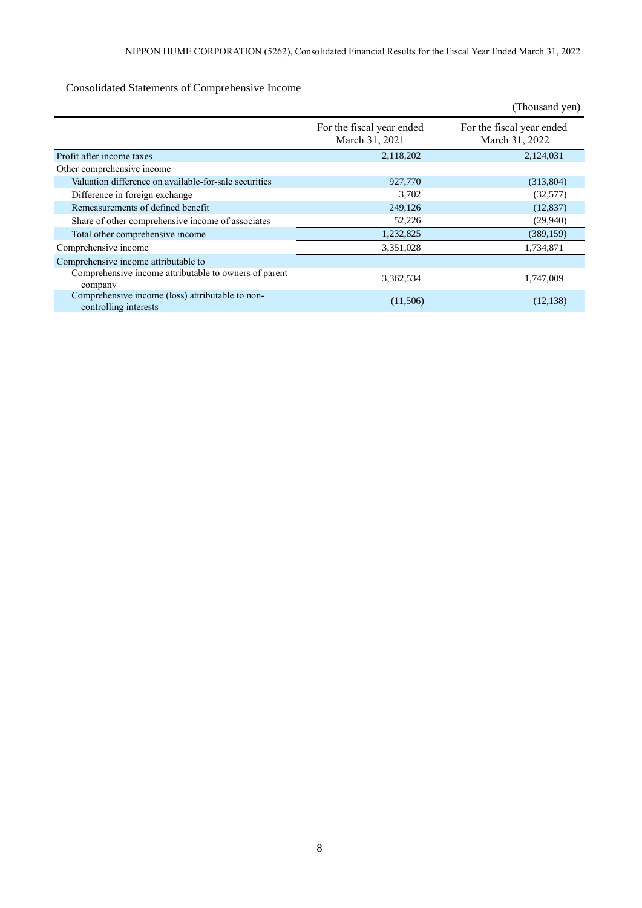# Consolidated Statements of Comprehensive Income

|                                                                           |                                             | (Thousand yen)                              |
|---------------------------------------------------------------------------|---------------------------------------------|---------------------------------------------|
|                                                                           | For the fiscal year ended<br>March 31, 2021 | For the fiscal year ended<br>March 31, 2022 |
| Profit after income taxes                                                 | 2,118,202                                   | 2,124,031                                   |
| Other comprehensive income                                                |                                             |                                             |
| Valuation difference on available-for-sale securities                     | 927,770                                     | (313,804)                                   |
| Difference in foreign exchange                                            | 3,702                                       | (32,577)                                    |
| Remeasurements of defined benefit                                         | 249,126                                     | (12, 837)                                   |
| Share of other comprehensive income of associates                         | 52,226                                      | (29,940)                                    |
| Total other comprehensive income                                          | 1,232,825                                   | (389, 159)                                  |
| Comprehensive income                                                      | 3,351,028                                   | 1,734,871                                   |
| Comprehensive income attributable to                                      |                                             |                                             |
| Comprehensive income attributable to owners of parent<br>company          | 3,362,534                                   | 1,747,009                                   |
| Comprehensive income (loss) attributable to non-<br>controlling interests | (11,506)                                    | (12, 138)                                   |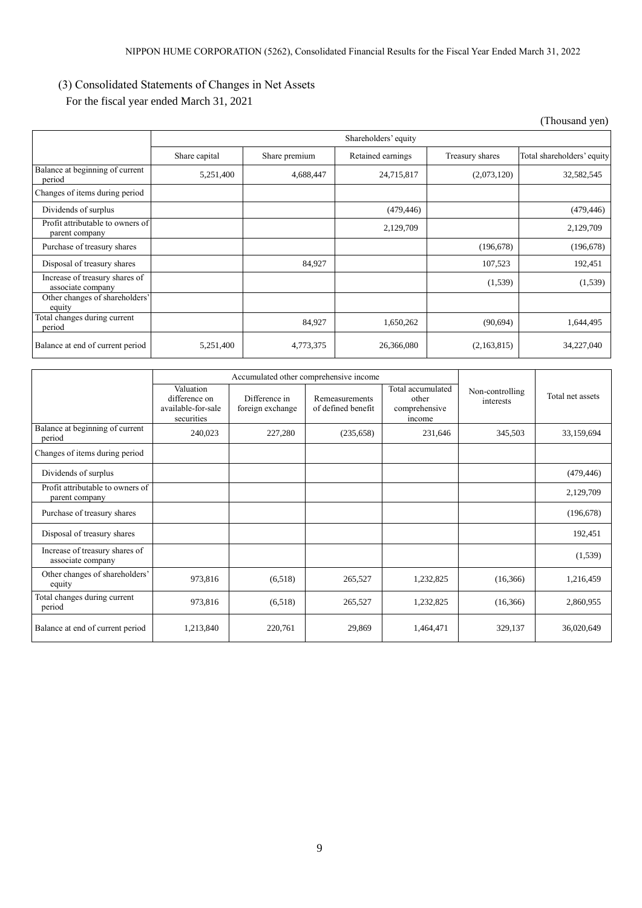### (3) Consolidated Statements of Changes in Net Assets

### For the fiscal year ended March 31, 2021

| (Thousand yen)                                      |               |                      |                   |                 |                            |  |  |  |
|-----------------------------------------------------|---------------|----------------------|-------------------|-----------------|----------------------------|--|--|--|
|                                                     |               | Shareholders' equity |                   |                 |                            |  |  |  |
|                                                     | Share capital | Share premium        | Retained earnings | Treasury shares | Total shareholders' equity |  |  |  |
| Balance at beginning of current<br>period           | 5,251,400     | 4,688,447            | 24,715,817        | (2,073,120)     | 32,582,545                 |  |  |  |
| Changes of items during period                      |               |                      |                   |                 |                            |  |  |  |
| Dividends of surplus                                |               |                      | (479, 446)        |                 | (479, 446)                 |  |  |  |
| Profit attributable to owners of<br>parent company  |               |                      | 2,129,709         |                 | 2,129,709                  |  |  |  |
| Purchase of treasury shares                         |               |                      |                   | (196, 678)      | (196, 678)                 |  |  |  |
| Disposal of treasury shares                         |               | 84,927               |                   | 107,523         | 192,451                    |  |  |  |
| Increase of treasury shares of<br>associate company |               |                      |                   | (1,539)         | (1, 539)                   |  |  |  |
| Other changes of shareholders'<br>equity            |               |                      |                   |                 |                            |  |  |  |
| Total changes during current<br>period              |               | 84,927               | 1,650,262         | (90, 694)       | 1,644,495                  |  |  |  |
| Balance at end of current period                    | 5,251,400     | 4,773,375            | 26,366,080        | (2,163,815)     | 34,227,040                 |  |  |  |

|                                                     | Accumulated other comprehensive income                         |                                   |                                      |                                                       |                              |                  |
|-----------------------------------------------------|----------------------------------------------------------------|-----------------------------------|--------------------------------------|-------------------------------------------------------|------------------------------|------------------|
|                                                     | Valuation<br>difference on<br>available-for-sale<br>securities | Difference in<br>foreign exchange | Remeasurements<br>of defined benefit | Total accumulated<br>other<br>comprehensive<br>income | Non-controlling<br>interests | Total net assets |
| Balance at beginning of current<br>period           | 240,023                                                        | 227,280                           | (235, 658)                           | 231,646                                               | 345,503                      | 33,159,694       |
| Changes of items during period                      |                                                                |                                   |                                      |                                                       |                              |                  |
| Dividends of surplus                                |                                                                |                                   |                                      |                                                       |                              | (479, 446)       |
| Profit attributable to owners of<br>parent company  |                                                                |                                   |                                      |                                                       |                              | 2,129,709        |
| Purchase of treasury shares                         |                                                                |                                   |                                      |                                                       |                              | (196, 678)       |
| Disposal of treasury shares                         |                                                                |                                   |                                      |                                                       |                              | 192,451          |
| Increase of treasury shares of<br>associate company |                                                                |                                   |                                      |                                                       |                              | (1,539)          |
| Other changes of shareholders'<br>equity            | 973,816                                                        | (6,518)                           | 265,527                              | 1,232,825                                             | (16,366)                     | 1,216,459        |
| Total changes during current<br>period              | 973,816                                                        | (6,518)                           | 265,527                              | 1,232,825                                             | (16,366)                     | 2,860,955        |
| Balance at end of current period                    | 1,213,840                                                      | 220,761                           | 29,869                               | 1,464,471                                             | 329,137                      | 36,020,649       |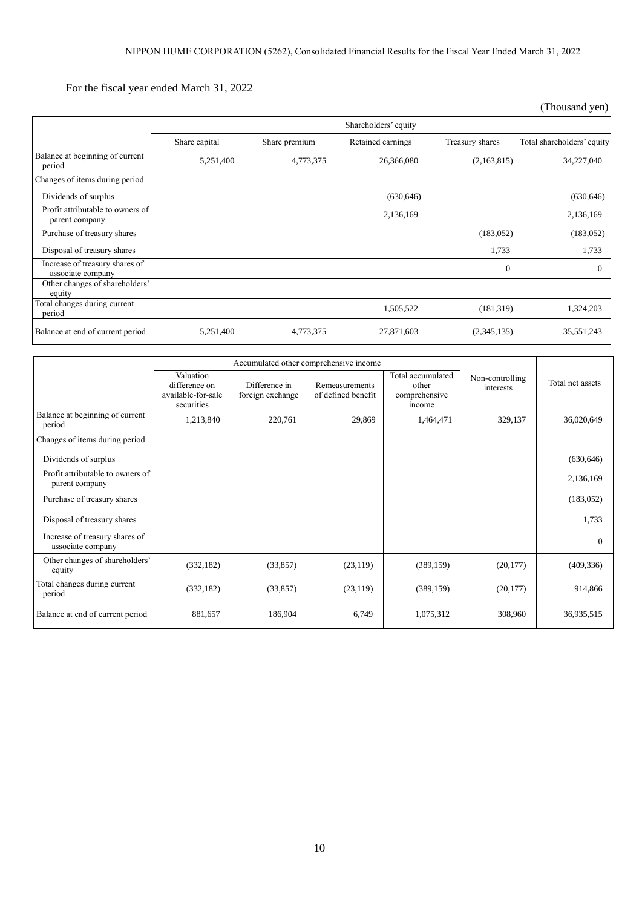### For the fiscal year ended March 31, 2022

|                                                     |               |               |                      |                 | (Thousand yen)             |
|-----------------------------------------------------|---------------|---------------|----------------------|-----------------|----------------------------|
|                                                     |               |               | Shareholders' equity |                 |                            |
|                                                     | Share capital | Share premium | Retained earnings    | Treasury shares | Total shareholders' equity |
| Balance at beginning of current<br>period           | 5,251,400     | 4,773,375     | 26,366,080           | (2,163,815)     | 34,227,040                 |
| Changes of items during period                      |               |               |                      |                 |                            |
| Dividends of surplus                                |               |               | (630, 646)           |                 | (630, 646)                 |
| Profit attributable to owners of<br>parent company  |               |               | 2,136,169            |                 | 2,136,169                  |
| Purchase of treasury shares                         |               |               |                      | (183,052)       | (183, 052)                 |
| Disposal of treasury shares                         |               |               |                      | 1,733           | 1,733                      |
| Increase of treasury shares of<br>associate company |               |               |                      | $\mathbf{0}$    | $\Omega$                   |
| Other changes of shareholders'<br>equity            |               |               |                      |                 |                            |
| Total changes during current<br>period              |               |               | 1,505,522            | (181, 319)      | 1,324,203                  |
| Balance at end of current period                    | 5,251,400     | 4,773,375     | 27,871,603           | (2,345,135)     | 35,551,243                 |

|                                                     | Accumulated other comprehensive income                         |                                   |                                      |                                                       |                              |                  |
|-----------------------------------------------------|----------------------------------------------------------------|-----------------------------------|--------------------------------------|-------------------------------------------------------|------------------------------|------------------|
|                                                     | Valuation<br>difference on<br>available-for-sale<br>securities | Difference in<br>foreign exchange | Remeasurements<br>of defined benefit | Total accumulated<br>other<br>comprehensive<br>income | Non-controlling<br>interests | Total net assets |
| Balance at beginning of current<br>period           | 1,213,840                                                      | 220,761                           | 29,869                               | 1,464,471                                             | 329,137                      | 36,020,649       |
| Changes of items during period                      |                                                                |                                   |                                      |                                                       |                              |                  |
| Dividends of surplus                                |                                                                |                                   |                                      |                                                       |                              | (630, 646)       |
| Profit attributable to owners of<br>parent company  |                                                                |                                   |                                      |                                                       |                              | 2,136,169        |
| Purchase of treasury shares                         |                                                                |                                   |                                      |                                                       |                              | (183,052)        |
| Disposal of treasury shares                         |                                                                |                                   |                                      |                                                       |                              | 1,733            |
| Increase of treasury shares of<br>associate company |                                                                |                                   |                                      |                                                       |                              | $\Omega$         |
| Other changes of shareholders'<br>equity            | (332, 182)                                                     | (33, 857)                         | (23, 119)                            | (389, 159)                                            | (20, 177)                    | (409, 336)       |
| Total changes during current<br>period              | (332, 182)                                                     | (33, 857)                         | (23, 119)                            | (389, 159)                                            | (20, 177)                    | 914,866          |
| Balance at end of current period                    | 881,657                                                        | 186,904                           | 6,749                                | 1,075,312                                             | 308,960                      | 36,935,515       |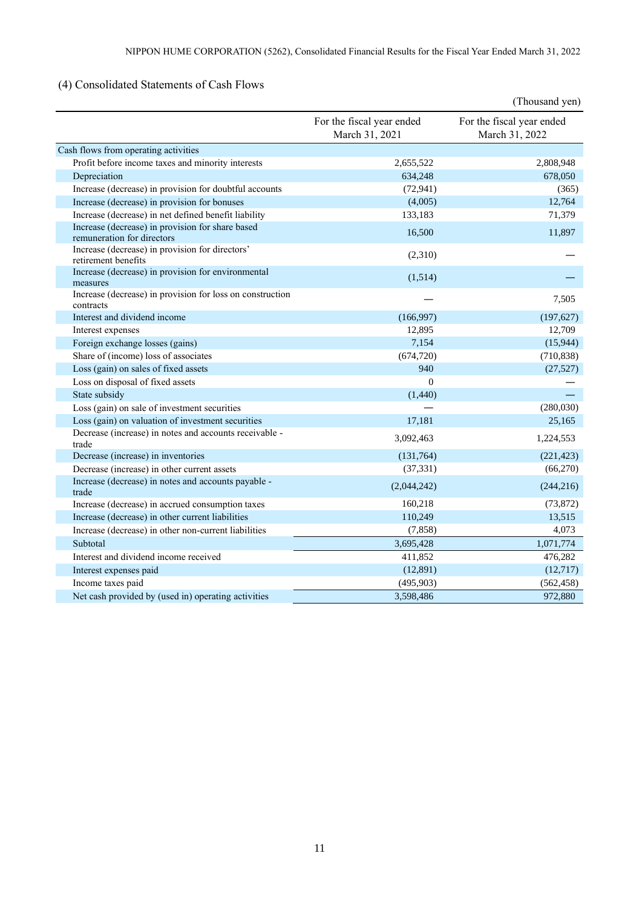## (4) Consolidated Statements of Cash Flows

|                                                                                |                                             | (Thousand yen)                              |
|--------------------------------------------------------------------------------|---------------------------------------------|---------------------------------------------|
|                                                                                | For the fiscal year ended<br>March 31, 2021 | For the fiscal year ended<br>March 31, 2022 |
| Cash flows from operating activities                                           |                                             |                                             |
| Profit before income taxes and minority interests                              | 2,655,522                                   | 2,808,948                                   |
| Depreciation                                                                   | 634,248                                     | 678,050                                     |
| Increase (decrease) in provision for doubtful accounts                         | (72, 941)                                   | (365)                                       |
| Increase (decrease) in provision for bonuses                                   | (4,005)                                     | 12,764                                      |
| Increase (decrease) in net defined benefit liability                           | 133,183                                     | 71,379                                      |
| Increase (decrease) in provision for share based<br>remuneration for directors | 16,500                                      | 11,897                                      |
| Increase (decrease) in provision for directors'<br>retirement benefits         | (2,310)                                     |                                             |
| Increase (decrease) in provision for environmental<br>measures                 | (1,514)                                     |                                             |
| Increase (decrease) in provision for loss on construction<br>contracts         |                                             | 7,505                                       |
| Interest and dividend income                                                   | (166,997)                                   | (197, 627)                                  |
| Interest expenses                                                              | 12,895                                      | 12,709                                      |
| Foreign exchange losses (gains)                                                | 7,154                                       | (15,944)                                    |
| Share of (income) loss of associates                                           | (674, 720)                                  | (710, 838)                                  |
| Loss (gain) on sales of fixed assets                                           | 940                                         | (27, 527)                                   |
| Loss on disposal of fixed assets                                               | $\Omega$                                    |                                             |
| State subsidy                                                                  | (1,440)                                     |                                             |
| Loss (gain) on sale of investment securities                                   |                                             | (280,030)                                   |
| Loss (gain) on valuation of investment securities                              | 17,181                                      | 25,165                                      |
| Decrease (increase) in notes and accounts receivable -<br>trade                | 3,092,463                                   | 1,224,553                                   |
| Decrease (increase) in inventories                                             | (131,764)                                   | (221, 423)                                  |
| Decrease (increase) in other current assets                                    | (37, 331)                                   | (66,270)                                    |
| Increase (decrease) in notes and accounts payable -<br>trade                   | (2,044,242)                                 | (244, 216)                                  |
| Increase (decrease) in accrued consumption taxes                               | 160,218                                     | (73, 872)                                   |
| Increase (decrease) in other current liabilities                               | 110,249                                     | 13,515                                      |
| Increase (decrease) in other non-current liabilities                           | (7,858)                                     | 4,073                                       |
| Subtotal                                                                       | 3,695,428                                   | 1,071,774                                   |
| Interest and dividend income received                                          | 411,852                                     | 476,282                                     |
| Interest expenses paid                                                         | (12, 891)                                   | (12,717)                                    |
| Income taxes paid                                                              | (495, 903)                                  | (562, 458)                                  |
| Net cash provided by (used in) operating activities                            | 3,598,486                                   | 972,880                                     |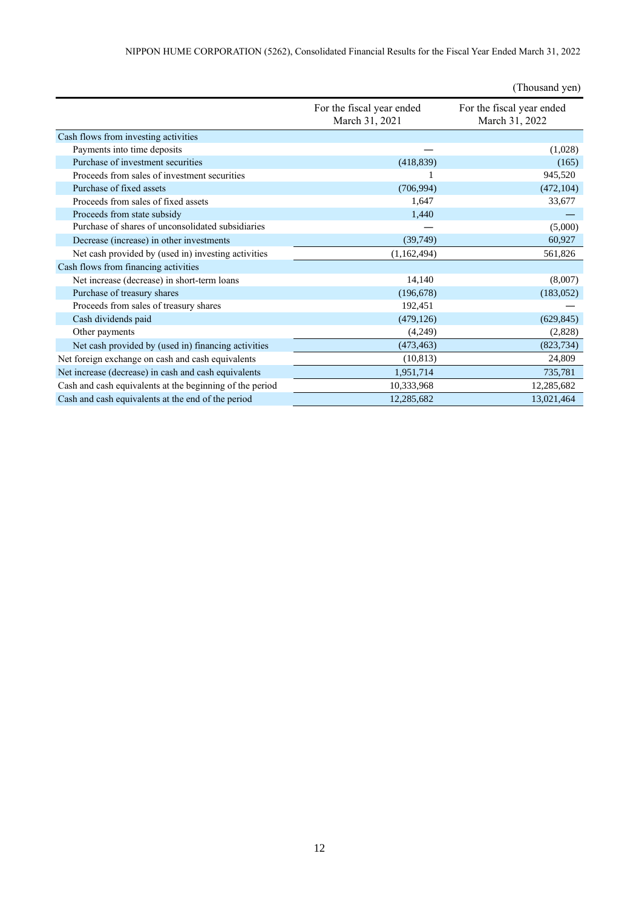|  | NIPPON HUME CORPORATION (5262), Consolidated Financial Results for the Fiscal Year Ended March 31, 2022 |
|--|---------------------------------------------------------------------------------------------------------|
|--|---------------------------------------------------------------------------------------------------------|

|                                                          |                                             | (Thousand yen)                              |
|----------------------------------------------------------|---------------------------------------------|---------------------------------------------|
|                                                          | For the fiscal year ended<br>March 31, 2021 | For the fiscal year ended<br>March 31, 2022 |
| Cash flows from investing activities                     |                                             |                                             |
| Payments into time deposits                              |                                             | (1,028)                                     |
| Purchase of investment securities                        | (418, 839)                                  | (165)                                       |
| Proceeds from sales of investment securities             |                                             | 945,520                                     |
| Purchase of fixed assets                                 | (706, 994)                                  | (472, 104)                                  |
| Proceeds from sales of fixed assets                      | 1,647                                       | 33,677                                      |
| Proceeds from state subsidy                              | 1,440                                       |                                             |
| Purchase of shares of unconsolidated subsidiaries        |                                             | (5,000)                                     |
| Decrease (increase) in other investments                 | (39,749)                                    | 60,927                                      |
| Net cash provided by (used in) investing activities      | (1,162,494)                                 | 561,826                                     |
| Cash flows from financing activities                     |                                             |                                             |
| Net increase (decrease) in short-term loans              | 14,140                                      | (8,007)                                     |
| Purchase of treasury shares                              | (196, 678)                                  | (183,052)                                   |
| Proceeds from sales of treasury shares                   | 192,451                                     |                                             |
| Cash dividends paid                                      | (479, 126)                                  | (629, 845)                                  |
| Other payments                                           | (4,249)                                     | (2,828)                                     |
| Net cash provided by (used in) financing activities      | (473, 463)                                  | (823, 734)                                  |
| Net foreign exchange on cash and cash equivalents        | (10, 813)                                   | 24,809                                      |
| Net increase (decrease) in cash and cash equivalents     | 1,951,714                                   | 735,781                                     |
| Cash and cash equivalents at the beginning of the period | 10,333,968                                  | 12,285,682                                  |
| Cash and cash equivalents at the end of the period       | 12,285,682                                  | 13,021,464                                  |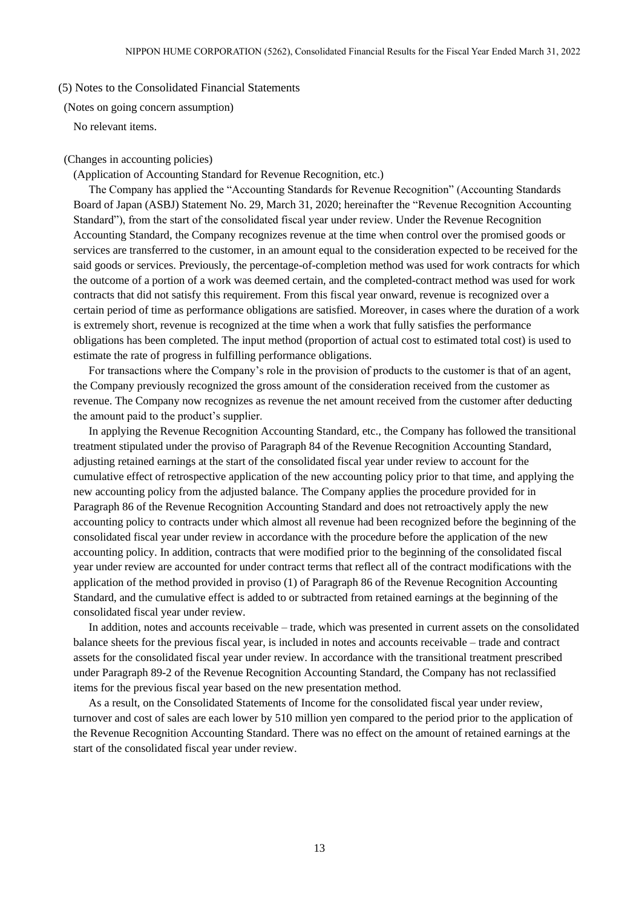(5) Notes to the Consolidated Financial Statements

(Notes on going concern assumption)

No relevant items.

#### (Changes in accounting policies)

(Application of Accounting Standard for Revenue Recognition, etc.)

The Company has applied the "Accounting Standards for Revenue Recognition" (Accounting Standards Board of Japan (ASBJ) Statement No. 29, March 31, 2020; hereinafter the "Revenue Recognition Accounting Standard"), from the start of the consolidated fiscal year under review. Under the Revenue Recognition Accounting Standard, the Company recognizes revenue at the time when control over the promised goods or services are transferred to the customer, in an amount equal to the consideration expected to be received for the said goods or services. Previously, the percentage-of-completion method was used for work contracts for which the outcome of a portion of a work was deemed certain, and the completed-contract method was used for work contracts that did not satisfy this requirement. From this fiscal year onward, revenue is recognized over a certain period of time as performance obligations are satisfied. Moreover, in cases where the duration of a work is extremely short, revenue is recognized at the time when a work that fully satisfies the performance obligations has been completed. The input method (proportion of actual cost to estimated total cost) is used to estimate the rate of progress in fulfilling performance obligations.

For transactions where the Company's role in the provision of products to the customer is that of an agent, the Company previously recognized the gross amount of the consideration received from the customer as revenue. The Company now recognizes as revenue the net amount received from the customer after deducting the amount paid to the product's supplier.

In applying the Revenue Recognition Accounting Standard, etc., the Company has followed the transitional treatment stipulated under the proviso of Paragraph 84 of the Revenue Recognition Accounting Standard, adjusting retained earnings at the start of the consolidated fiscal year under review to account for the cumulative effect of retrospective application of the new accounting policy prior to that time, and applying the new accounting policy from the adjusted balance. The Company applies the procedure provided for in Paragraph 86 of the Revenue Recognition Accounting Standard and does not retroactively apply the new accounting policy to contracts under which almost all revenue had been recognized before the beginning of the consolidated fiscal year under review in accordance with the procedure before the application of the new accounting policy. In addition, contracts that were modified prior to the beginning of the consolidated fiscal year under review are accounted for under contract terms that reflect all of the contract modifications with the application of the method provided in proviso (1) of Paragraph 86 of the Revenue Recognition Accounting Standard, and the cumulative effect is added to or subtracted from retained earnings at the beginning of the consolidated fiscal year under review.

In addition, notes and accounts receivable – trade, which was presented in current assets on the consolidated balance sheets for the previous fiscal year, is included in notes and accounts receivable – trade and contract assets for the consolidated fiscal year under review. In accordance with the transitional treatment prescribed under Paragraph 89-2 of the Revenue Recognition Accounting Standard, the Company has not reclassified items for the previous fiscal year based on the new presentation method.

As a result, on the Consolidated Statements of Income for the consolidated fiscal year under review, turnover and cost of sales are each lower by 510 million yen compared to the period prior to the application of the Revenue Recognition Accounting Standard. There was no effect on the amount of retained earnings at the start of the consolidated fiscal year under review.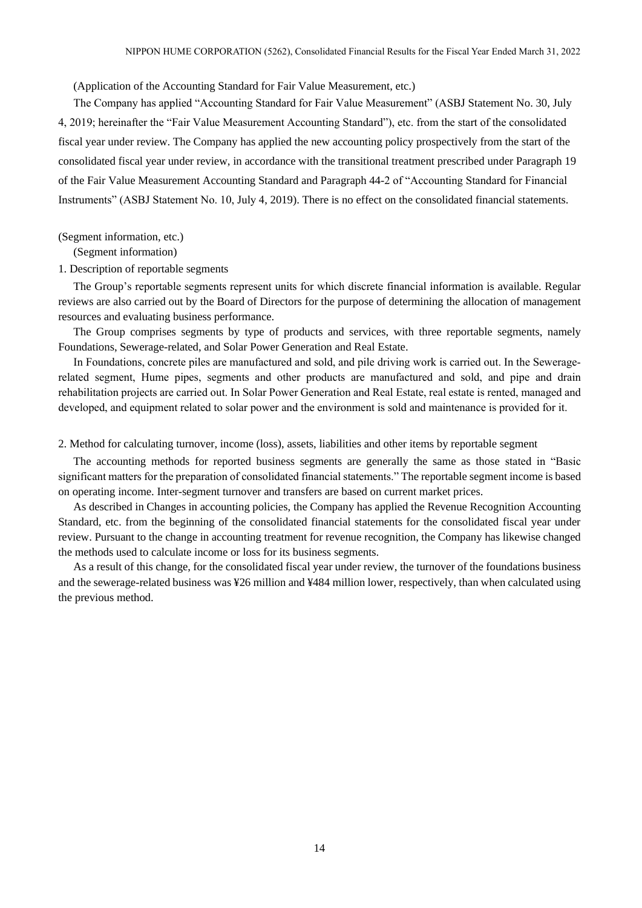(Application of the Accounting Standard for Fair Value Measurement, etc.)

The Company has applied "Accounting Standard for Fair Value Measurement" (ASBJ Statement No. 30, July 4, 2019; hereinafter the "Fair Value Measurement Accounting Standard"), etc. from the start of the consolidated fiscal year under review. The Company has applied the new accounting policy prospectively from the start of the consolidated fiscal year under review, in accordance with the transitional treatment prescribed under Paragraph 19 of the Fair Value Measurement Accounting Standard and Paragraph 44-2 of "Accounting Standard for Financial Instruments" (ASBJ Statement No. 10, July 4, 2019). There is no effect on the consolidated financial statements.

(Segment information, etc.)

(Segment information)

1. Description of reportable segments

The Group's reportable segments represent units for which discrete financial information is available. Regular reviews are also carried out by the Board of Directors for the purpose of determining the allocation of management resources and evaluating business performance.

The Group comprises segments by type of products and services, with three reportable segments, namely Foundations, Sewerage-related, and Solar Power Generation and Real Estate.

In Foundations, concrete piles are manufactured and sold, and pile driving work is carried out. In the Seweragerelated segment, Hume pipes, segments and other products are manufactured and sold, and pipe and drain rehabilitation projects are carried out. In Solar Power Generation and Real Estate, real estate is rented, managed and developed, and equipment related to solar power and the environment is sold and maintenance is provided for it.

2. Method for calculating turnover, income (loss), assets, liabilities and other items by reportable segment

The accounting methods for reported business segments are generally the same as those stated in "Basic significant matters for the preparation of consolidated financial statements." The reportable segment income is based on operating income. Inter-segment turnover and transfers are based on current market prices.

As described in Changes in accounting policies, the Company has applied the Revenue Recognition Accounting Standard, etc. from the beginning of the consolidated financial statements for the consolidated fiscal year under review. Pursuant to the change in accounting treatment for revenue recognition, the Company has likewise changed the methods used to calculate income or loss for its business segments.

As a result of this change, for the consolidated fiscal year under review, the turnover of the foundations business and the sewerage-related business was ¥26 million and ¥484 million lower, respectively, than when calculated using the previous method.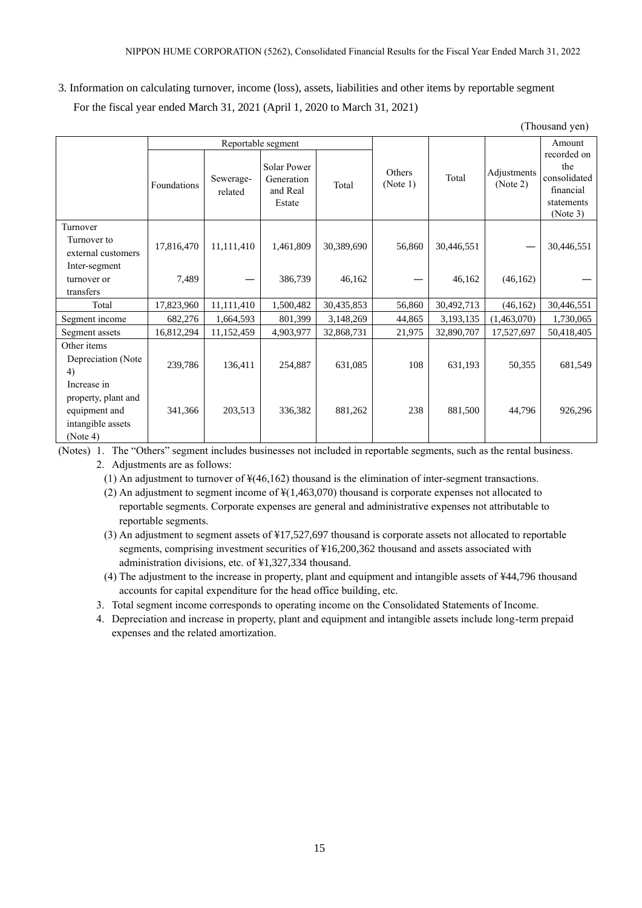# 3. Information on calculating turnover, income (loss), assets, liabilities and other items by reportable segment For the fiscal year ended March 31, 2021 (April 1, 2020 to March 31, 2021)

|                                                                       |                    |                      |                                                 |            |                    |            |                         | (Thousand yen)                                                            |
|-----------------------------------------------------------------------|--------------------|----------------------|-------------------------------------------------|------------|--------------------|------------|-------------------------|---------------------------------------------------------------------------|
|                                                                       | Reportable segment |                      |                                                 |            |                    | Amount     |                         |                                                                           |
|                                                                       | Foundations        | Sewerage-<br>related | Solar Power<br>Generation<br>and Real<br>Estate | Total      | Others<br>(Note 1) | Total      | Adjustments<br>(Note 2) | recorded on<br>the<br>consolidated<br>financial<br>statements<br>(Note 3) |
| Turnover                                                              |                    |                      |                                                 |            |                    |            |                         |                                                                           |
| Turnover to<br>external customers                                     | 17,816,470         | 11,111,410           | 1,461,809                                       | 30,389,690 | 56,860             | 30,446,551 |                         | 30,446,551                                                                |
| Inter-segment                                                         |                    |                      |                                                 |            |                    |            |                         |                                                                           |
| turnover or                                                           | 7,489              |                      | 386,739                                         | 46,162     |                    | 46,162     | (46, 162)               |                                                                           |
| transfers                                                             |                    |                      |                                                 |            |                    |            |                         |                                                                           |
| Total                                                                 | 17,823,960         | 11,111,410           | 1,500,482                                       | 30,435,853 | 56,860             | 30,492,713 | (46, 162)               | 30,446,551                                                                |
| Segment income                                                        | 682,276            | 1,664,593            | 801,399                                         | 3,148,269  | 44,865             | 3,193,135  | (1,463,070)             | 1,730,065                                                                 |
| Segment assets                                                        | 16,812,294         | 11,152,459           | 4,903,977                                       | 32,868,731 | 21,975             | 32,890,707 | 17,527,697              | 50,418,405                                                                |
| Other items<br>Depreciation (Note<br>4)<br>Increase in                | 239,786            | 136,411              | 254,887                                         | 631,085    | 108                | 631,193    | 50,355                  | 681,549                                                                   |
| property, plant and<br>equipment and<br>intangible assets<br>(Note 4) | 341,366            | 203,513              | 336,382                                         | 881,262    | 238                | 881,500    | 44,796                  | 926,296                                                                   |

(Notes) 1. The "Others" segment includes businesses not included in reportable segments, such as the rental business.

2. Adjustments are as follows:

(1) An adjustment to turnover of ¥(46,162) thousand is the elimination of inter-segment transactions.

(2) An adjustment to segment income of ¥(1,463,070) thousand is corporate expenses not allocated to reportable segments. Corporate expenses are general and administrative expenses not attributable to reportable segments.

(3) An adjustment to segment assets of ¥17,527,697 thousand is corporate assets not allocated to reportable segments, comprising investment securities of ¥16,200,362 thousand and assets associated with administration divisions, etc. of ¥1,327,334 thousand.

(4) The adjustment to the increase in property, plant and equipment and intangible assets of ¥44,796 thousand accounts for capital expenditure for the head office building, etc.

3. Total segment income corresponds to operating income on the Consolidated Statements of Income.

4. Depreciation and increase in property, plant and equipment and intangible assets include long-term prepaid expenses and the related amortization.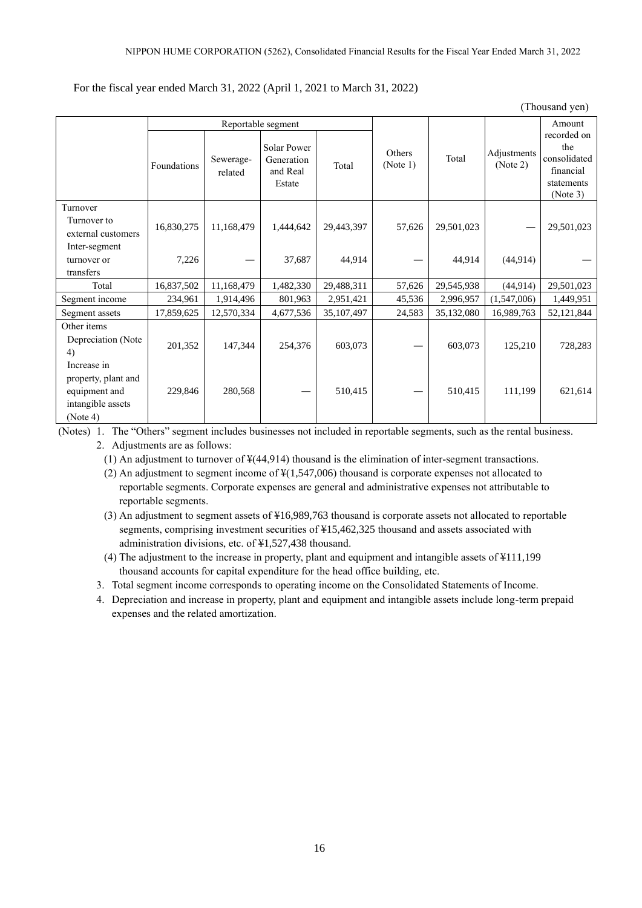|                                                                                      |             |                      |                                                 |            |                    |            |                         | (Thousand yen)                                                            |
|--------------------------------------------------------------------------------------|-------------|----------------------|-------------------------------------------------|------------|--------------------|------------|-------------------------|---------------------------------------------------------------------------|
|                                                                                      |             |                      | Reportable segment                              |            |                    |            |                         | Amount                                                                    |
|                                                                                      | Foundations | Sewerage-<br>related | Solar Power<br>Generation<br>and Real<br>Estate | Total      | Others<br>(Note 1) | Total      | Adjustments<br>(Note 2) | recorded on<br>the<br>consolidated<br>financial<br>statements<br>(Note 3) |
| Turnover                                                                             |             |                      |                                                 |            |                    |            |                         |                                                                           |
| Turnover to                                                                          | 16,830,275  | 11,168,479           | 1,444,642                                       | 29,443,397 | 57,626             | 29,501,023 |                         | 29,501,023                                                                |
| external customers                                                                   |             |                      |                                                 |            |                    |            |                         |                                                                           |
| Inter-segment                                                                        |             |                      |                                                 |            |                    |            |                         |                                                                           |
| turnover or                                                                          | 7,226       |                      | 37,687                                          | 44,914     |                    | 44,914     | (44, 914)               |                                                                           |
| transfers                                                                            |             |                      |                                                 |            |                    |            |                         |                                                                           |
| Total                                                                                | 16,837,502  | 11,168,479           | 1,482,330                                       | 29,488,311 | 57,626             | 29,545,938 | (44, 914)               | 29,501,023                                                                |
| Segment income                                                                       | 234,961     | 1,914,496            | 801,963                                         | 2,951,421  | 45,536             | 2,996,957  | (1,547,006)             | 1,449,951                                                                 |
| Segment assets                                                                       | 17,859,625  | 12,570,334           | 4,677,536                                       | 35,107,497 | 24,583             | 35,132,080 | 16,989,763              | 52,121,844                                                                |
| Other items<br>Depreciation (Note<br>4)                                              | 201,352     | 147,344              | 254,376                                         | 603,073    |                    | 603,073    | 125,210                 | 728,283                                                                   |
| Increase in<br>property, plant and<br>equipment and<br>intangible assets<br>(Note 4) | 229,846     | 280,568              |                                                 | 510,415    |                    | 510,415    | 111,199                 | 621,614                                                                   |

#### For the fiscal year ended March 31, 2022 (April 1, 2021 to March 31, 2022)

(Notes) 1. The "Others" segment includes businesses not included in reportable segments, such as the rental business.

2. Adjustments are as follows:

(1) An adjustment to turnover of ¥(44,914) thousand is the elimination of inter-segment transactions.

(2) An adjustment to segment income of ¥(1,547,006) thousand is corporate expenses not allocated to reportable segments. Corporate expenses are general and administrative expenses not attributable to reportable segments.

- (3) An adjustment to segment assets of ¥16,989,763 thousand is corporate assets not allocated to reportable segments, comprising investment securities of ¥15,462,325 thousand and assets associated with administration divisions, etc. of ¥1,527,438 thousand.
- (4) The adjustment to the increase in property, plant and equipment and intangible assets of ¥111,199 thousand accounts for capital expenditure for the head office building, etc.

3. Total segment income corresponds to operating income on the Consolidated Statements of Income.

4. Depreciation and increase in property, plant and equipment and intangible assets include long-term prepaid expenses and the related amortization.